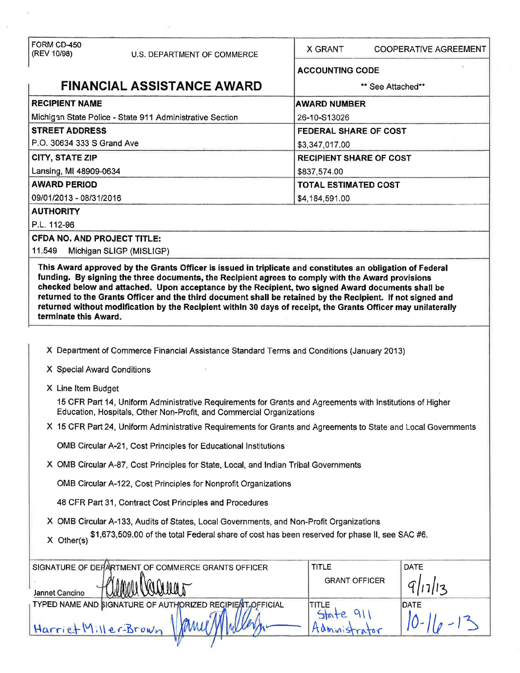| FORM CD-450<br>(REV 10/98)                                                           | U.S. DEPARTMENT OF COMMERCE                                                                                                                                                                                                                                                                                                                                                                                                            | X GRANT                | <b>COOPERATIVE AGREEMENT</b>   |  |  |
|--------------------------------------------------------------------------------------|----------------------------------------------------------------------------------------------------------------------------------------------------------------------------------------------------------------------------------------------------------------------------------------------------------------------------------------------------------------------------------------------------------------------------------------|------------------------|--------------------------------|--|--|
|                                                                                      |                                                                                                                                                                                                                                                                                                                                                                                                                                        | <b>ACCOUNTING CODE</b> |                                |  |  |
|                                                                                      | <b>FINANCIAL ASSISTANCE AWARD</b>                                                                                                                                                                                                                                                                                                                                                                                                      |                        | ** See Attached**              |  |  |
| <b>RECIPIENT NAME</b>                                                                |                                                                                                                                                                                                                                                                                                                                                                                                                                        | <b>AWARD NUMBER</b>    |                                |  |  |
|                                                                                      | Michigan State Police - State 911 Administrative Section                                                                                                                                                                                                                                                                                                                                                                               | 26-10-S13026           |                                |  |  |
| <b>STREET ADDRESS</b>                                                                |                                                                                                                                                                                                                                                                                                                                                                                                                                        |                        | FEDERAL SHARE OF COST          |  |  |
| P.O. 30634 333 S Grand Ave                                                           |                                                                                                                                                                                                                                                                                                                                                                                                                                        | \$3,347,017.00         |                                |  |  |
| CITY, STATE ZIP                                                                      |                                                                                                                                                                                                                                                                                                                                                                                                                                        |                        | <b>RECIPIENT SHARE OF COST</b> |  |  |
| Lansing, MI 48909-0634                                                               |                                                                                                                                                                                                                                                                                                                                                                                                                                        | \$837,574.00           |                                |  |  |
| <b>AWARD PERIOD</b>                                                                  |                                                                                                                                                                                                                                                                                                                                                                                                                                        |                        | <b>TOTAL ESTIMATED COST</b>    |  |  |
| 09/01/2013 - 08/31/2016                                                              |                                                                                                                                                                                                                                                                                                                                                                                                                                        | \$4,184,591.00         |                                |  |  |
| <b>AUTHORITY</b>                                                                     |                                                                                                                                                                                                                                                                                                                                                                                                                                        |                        |                                |  |  |
| P.L. 112-96                                                                          |                                                                                                                                                                                                                                                                                                                                                                                                                                        |                        |                                |  |  |
| <b>CFDA NO. AND PROJECT TITLE:</b><br>11.549                                         |                                                                                                                                                                                                                                                                                                                                                                                                                                        |                        |                                |  |  |
|                                                                                      | Michigan SLIGP (MISLIGP)<br>This Award approved by the Grants Officer is issued in triplicate and constitutes an obligation of Federal                                                                                                                                                                                                                                                                                                 |                        |                                |  |  |
| terminate this Award.                                                                | funding. By signing the three documents, the Recipient agrees to comply with the Award provisions<br>checked below and attached. Upon acceptance by the Recipient, two signed Award documents shall be<br>returned to the Grants Officer and the third document shall be retained by the Recipient. If not signed and<br>returned without modification by the Recipient within 30 days of receipt, the Grants Officer may unilaterally |                        |                                |  |  |
|                                                                                      |                                                                                                                                                                                                                                                                                                                                                                                                                                        |                        |                                |  |  |
|                                                                                      | X Department of Commerce Financial Assistance Standard Terms and Conditions (January 2013)                                                                                                                                                                                                                                                                                                                                             |                        |                                |  |  |
| X Special Award Conditions                                                           |                                                                                                                                                                                                                                                                                                                                                                                                                                        |                        |                                |  |  |
| X Line Item Budget                                                                   |                                                                                                                                                                                                                                                                                                                                                                                                                                        |                        |                                |  |  |
|                                                                                      | 15 CFR Part 14, Uniform Administrative Requirements for Grants and Agreements with Institutions of Higher<br>Education, Hospitals, Other Non-Profit, and Commercial Organizations                                                                                                                                                                                                                                                      |                        |                                |  |  |
|                                                                                      | X 15 CFR Part 24, Uniform Administrative Requirements for Grants and Agreements to State and Local Governments                                                                                                                                                                                                                                                                                                                         |                        |                                |  |  |
|                                                                                      | OMB Circular A-21, Cost Principles for Educational Institutions                                                                                                                                                                                                                                                                                                                                                                        |                        |                                |  |  |
| X OMB Circular A-87, Cost Principles for State, Local, and Indian Tribal Governments |                                                                                                                                                                                                                                                                                                                                                                                                                                        |                        |                                |  |  |
| OMB Circular A-122, Cost Principles for Nonprofit Organizations                      |                                                                                                                                                                                                                                                                                                                                                                                                                                        |                        |                                |  |  |
|                                                                                      | 48 CFR Part 31, Contract Cost Principles and Procedures                                                                                                                                                                                                                                                                                                                                                                                |                        |                                |  |  |
|                                                                                      | X OMB Circular A-133, Audits of States, Local Governments, and Non-Profit Organizations                                                                                                                                                                                                                                                                                                                                                |                        |                                |  |  |
| X Other(s)                                                                           | \$1,673,509.00 of the total Federal share of cost has been reserved for phase II, see SAC #6.                                                                                                                                                                                                                                                                                                                                          |                        |                                |  |  |
|                                                                                      | SIGNATURE OF DEFARTMENT OF COMMERCE GRANTS OFFICER                                                                                                                                                                                                                                                                                                                                                                                     | <b>TITLE</b>           | DATE                           |  |  |
| Jannet Cancino                                                                       |                                                                                                                                                                                                                                                                                                                                                                                                                                        | <b>GRANT OFFICER</b>   |                                |  |  |
|                                                                                      | TYPED NAME AND SIGNATURE OF AUTHORIZED RECIPIENT,OFFICIAL                                                                                                                                                                                                                                                                                                                                                                              | <b>TITLE</b>           | <b>DATE</b>                    |  |  |
| Harriet Miller-Brown                                                                 |                                                                                                                                                                                                                                                                                                                                                                                                                                        | State<br>Adminis       |                                |  |  |
|                                                                                      |                                                                                                                                                                                                                                                                                                                                                                                                                                        |                        |                                |  |  |

 $\bar{a}$ 

 $\sim 10^{-1}$ 

 $\bar{\Sigma}$